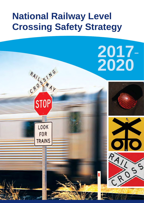## **National Railway Level Crossing Safety Strategy**

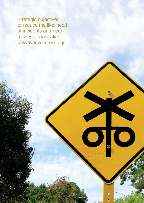Strategic objective: to reduce the likelihood of incidents and near misses at Australian railway level crossings

2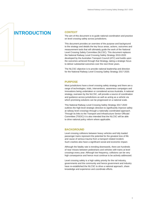## **INTRODUCTION**

The aim of this document is to guide national coordination and practice on level crossing safety across jurisdictions.

**INTRODUCTION**<br>
The aim of this on level cross<br>
This documer<br>
to the strategy<br>
measurement<br>
Level Crossin<br>
the National Reveloped by<br>
the outcomes<br>
to deliver subs<br>
The NLCSC o<br>
for the National This document provides an overview of the purpose and background to the strategy and details the key focus areas, actions, outcomes and measurement tools that will ultimately guide the work of the National Level Crossing Safety Committee (NLCSC). This document replaces the National Railway Level Crossing Safety Strategy 2010-2020 developed by the Australian Transport Council (ATC) and builds upon the outcomes achieved through that Strategy, taking a strategic focus to deliver substantial outcomes over the next three years.

The NLCSC objective is to provide national leadership and direction for the National Railway Level Crossing Safety Strategy 2017-2020.

## **PURPOSE**

 Most jurisdictions have a level crossing safety strategy and there are a range of technologies, trials, interventions, awareness campaigns and innovations being undertaken or considered across Australia. A national strategy, overseen by the NLCSC, will provide a source of coordination and guidance across jurisdictions as well as acting as a vehicle via which promising solutions can be progressed on a national scale.

This National Railway Level Crossing Safety Strategy 2017-2020 outlines the high-level strategic direction to significantly improve safety at railway level crossings through a nationally coordinated approach. Through its links to the Transport and Infrastructure Senior Officials' Committee (TISOC) it is also intended that the NLCSC will be able to drive national policy reform where applicable.

## **BACKGROUND**

 Level crossing collisions between heavy vehicles and fully loaded passenger trains represent the potential for the greatest loss of life and cause of serious trauma from a transport related incident. Such crashes also have a significant social and economic impact.

Although the fatality rate is trending downwards, there are hundreds of near misses between pedestrians and vehicles with trains at level crossings every year. Although low frequency, collisions can be very high consequence and hence must continue to be actively addressed.

Level crossing safety is a high safety priority for the rail industry, governments and the community and hence government and industry have re-established the NLCSC to drive a national approach, share knowledge and experience and coordinate efforts.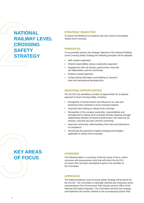## NATION<br>RAILWA<br>CROSS<br>SAFET<br>STRATE **NATIONAL RAILWAY LEVEL CROSSING SAFETY STRATEGY**

## **STRATEGIC OBJECTIVE**

To reduce the likelihood of incidents and near misses at Australian railway level crossings.

## **PRINCIPLES**

 To successfully achieve the strategic objective of the National Railway Level Crossing Safety Strategy the following principles will be adopted:

- Safe systems approach.
- Shared responsibility using a cooperative approach.
- Engagement with rail industry, government, road and rail stakeholders and the community.
- Evidence based approach.
- Using existing information and building on research, trials and international developments.

## **IDENTIFIED OPPORTUNITIES**

The NLCSC has identified a number of opportunities for a national approach to level crossing safety, including:

- Recognition of human factors and influences on road user behaviours that contribute to level crossing incidents.
- Improved data relating to railway level crossings.
- Recognition of the complex ownership, responsibilities and management of railway level crossings thereby requiring stronger relationships between all levels of government, the road and rail industry, road and rail users and the community.
- Improved community understanding of the risks and importance of compliance.
- Harnessing the potential of rapidly emerging technologies applicable to railway level crossings.

## KEY AF **KEY AREAS OF FOCUS**

## **OVERVIEW**

 The following table is a summary of the key areas of focus, action, outcomes and measurement tools that will inform the NLCSC. An Action Plan has been developed to govern the activities of the Committee.

## **APPROACH**

The National Railway Level Crossing Safety Strategy will be driven by the NLCSC. The Committee is nationally oriented and comprises senior representatives from Government, Rail Industry and the Office of the National Rail Safety Regulator. The Committee will drive this strategy and implement the actions outlined in the accompanying Action Plan.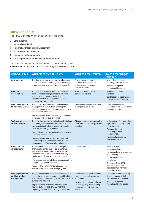## **AREAS OF FOCUS**

The NLCSS focuses on six key streams or focus areas:

- 1. Safe systems
- 2. National coordination
- 3. National approach to risk assessment
- 4. Technology and innovation
- 5. Education and enforcement
- 6. Data improvement and knowledge management

The table below identifies the key actions in each focus area, the outcomes linked to each action and how progress will be measured.

| <b>Area Of Focus</b>                            | <b>What Are We Going To Do?</b>                                                                                                                                                                                                                                                                                                                                                                                        | <b>What Will We Achieve?</b>                                                                                                                                                                        | <b>How Will We Measure</b><br><b>Progress?</b>                                                                                                                                                                                                                              |
|-------------------------------------------------|------------------------------------------------------------------------------------------------------------------------------------------------------------------------------------------------------------------------------------------------------------------------------------------------------------------------------------------------------------------------------------------------------------------------|-----------------------------------------------------------------------------------------------------------------------------------------------------------------------------------------------------|-----------------------------------------------------------------------------------------------------------------------------------------------------------------------------------------------------------------------------------------------------------------------------|
| Safe systems                                    | To adapt and apply, in a railway level crossing<br>context, internationally recognised road safety<br>practices based on a safe systems approach.                                                                                                                                                                                                                                                                      | A system that recognises<br>human fallibility and limits<br>to tolerance of forces on<br>the human body.                                                                                            | New policies incorporate<br>$\bullet$<br>a safe systems approach.<br>Benchmark against<br>$\bullet$<br>international best practice.                                                                                                                                         |
| <b>National</b><br>coordination                 | To achieve more consistent and coordinated<br>arrangements across jurisdictions including<br>sharing of good practice and to identify<br>opportunities to work together to achieve<br>common aims and goals.                                                                                                                                                                                                           | More consistent practices<br>across jurisdictions.                                                                                                                                                  | Extent of inconsistent<br>$\bullet$<br>practices.<br>Identification of opportunities<br>$\bullet$<br>for coordination of activities.                                                                                                                                        |
| National approach<br>to risk management         | Through ALCAM understand and effectively<br>manage risk at railway level crossings to<br>evaluate, prioritise and inform the development<br>of investment strategies.<br>Engagement with ALCAM Steering Committee<br>to measure risk at level crossings.                                                                                                                                                               | Well understood and effectively<br>managed levels of risk.                                                                                                                                          | $\bullet$<br>Investment decisions<br>supported by risk assessment<br>management tools.                                                                                                                                                                                      |
| <b>Technology</b><br>and innovation             | To maintain a register of technological solutions<br>and emerging innovations across Australia and<br>overseas being trialled or utilised by operators,<br>track owners and governments.<br>Capture learnings from trials or implementation<br>of level crossing solutions.<br>Engagement with Australian Centre for Rail<br>Innovation (ACRI) for research and the Rail<br>Manufacturing CRC to develop scholarships. | Effective emerging technologies<br>monitored and where applicable<br>adopted.                                                                                                                       | Maintenance of an up-to-date<br>register of technologies and<br>innovative trials.<br>$\bullet$<br>Evidence that new<br>technologies have<br>been adopted.<br>Investment in research<br>$\bullet$<br>and development.                                                       |
| <b>Education and</b><br>enforcement             | To coordinate communication campaigns and<br>share creative materials so as to generate<br>awareness of level crossings and establish<br>understanding of the required behaviour by<br>road users and pedestrians at level crossings.<br>Improve compliance with level crossing controls<br>through ongoing enforcement.<br>Support of TrackSAFE Education and other<br>level crossing safety education programs.      | Improved compliance.                                                                                                                                                                                | Amount of material and<br>$\bullet$<br>campaigns shared.<br>Increase in level of awareness<br>by community.<br>Increase in the level of<br>$\bullet$<br>compliance<br>Take-up of TrackSAFE<br><b>Education curriculum</b><br>resources in primary and<br>secondary schools. |
| Data improvement<br>and knowledge<br>management | To capture incident data at level crossings in a<br>nationally consistent manner that enables better<br>analysis and understanding of the characteristics<br>surrounding incidents.<br>Engagement with the Rail Industry Safety<br>Standards Board (RISSB) and ONRSR<br>regarding national level crossing incident data.                                                                                               | Information to support decision<br>making is accessible, current<br>and shared.<br>National standards are adopted<br>for investigating and recording<br>data related to rail crossing<br>incidents. | Data gaps in understanding<br>$\bullet$<br>risks and human fallibility<br>are identified and reduced.<br>Benchmark against<br>international best practice.                                                                                                                  |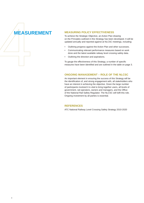# 4 **MEASUREMENT**

## **MEASURING POLICY EFFECTIVENESS**

To achieve the Strategic Objective, an Action Plan drawing on the Principles outlined in this Strategy has been developed. It will be updated annually and reported against at NLCSC meetings, including:

- Outlining progress against the Action Plan and other successes.
- Communicating relevant performance measures based on work done and the latest available railway level crossing safety data.
- Outlining the direction and aspirations.

To gauge the effectiveness of this Strategy, a number of specific measures have been identified and are outlined in the table on page 3.

## **ONGOING MANAGEMENT – ROLE OF THE NLCSC**

An important element in ensuring the success of this Strategy will be the identification of, and strong engagement with, all stakeholders who have an interest in achieving the objective. Given the large number of participants involved it is vital to bring together users, all levels of government, rail operators, owners and managers, and the Office of the National Rail Safety Regulator. The NLCSC will fulfil this role. Ongoing investment by all parties is essential.

## **REFERENCES**

ATC National Railway Level Crossing Safety Strategy 2010-2020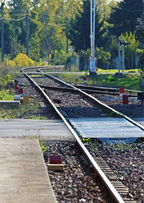